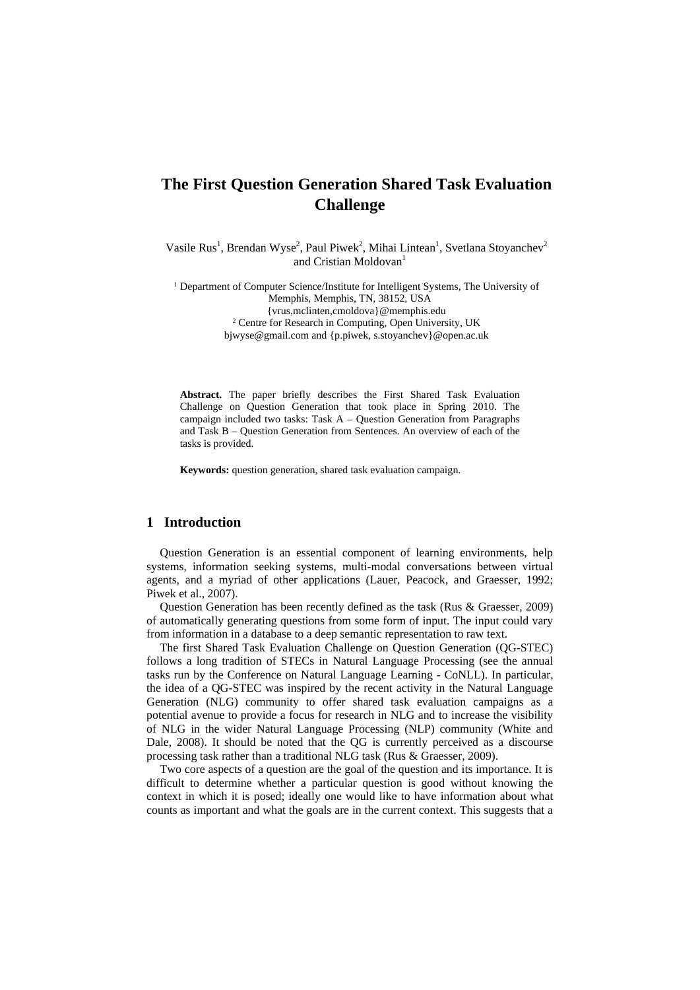# **The First Question Generation Shared Task Evaluation Challenge**

Vasile Rus<sup>1</sup>, Brendan Wyse<sup>2</sup>, Paul Piwek<sup>2</sup>, Mihai Lintean<sup>1</sup>, Svetlana Stoyanchev<sup>2</sup> and Cristian Moldovan<sup>1</sup>

<sup>1</sup> Department of Computer Science/Institute for Intelligent Systems, The University of Memphis, Memphis, TN, 38152, USA {vrus,mclinten,cmoldova}@memphis.edu 2 <sup>2</sup> Centre for Research in Computing, Open University, UK bjwyse@gmail.com and {p.piwek, s.stoyanchev}@open.ac.uk

**Abstract.** The paper briefly describes the First Shared Task Evaluation Challenge on Question Generation that took place in Spring 2010. The campaign included two tasks: Task A – Question Generation from Paragraphs and Task B – Question Generation from Sentences. An overview of each of the tasks is provided.

**Keywords:** question generation, shared task evaluation campaign.

# **1 Introduction**

Question Generation is an essential component of learning environments, help systems, information seeking systems, multi-modal conversations between virtual agents, and a myriad of other applications (Lauer, Peacock, and Graesser, 1992; Piwek et al., 2007).

Question Generation has been recently defined as the task (Rus & Graesser, 2009) of automatically generating questions from some form of input. The input could vary from information in a database to a deep semantic representation to raw text.

The first Shared Task Evaluation Challenge on Question Generation (QG-STEC) follows a long tradition of STECs in Natural Language Processing (see the annual tasks run by the Conference on Natural Language Learning - CoNLL). In particular, the idea of a QG-STEC was inspired by the recent activity in the Natural Language Generation (NLG) community to offer shared task evaluation campaigns as a potential avenue to provide a focus for research in NLG and to increase the visibility of NLG in the wider Natural Language Processing (NLP) community (White and Dale, 2008). It should be noted that the QG is currently perceived as a discourse processing task rather than a traditional NLG task (Rus & Graesser, 2009).

Two core aspects of a question are the goal of the question and its importance. It is difficult to determine whether a particular question is good without knowing the context in which it is posed; ideally one would like to have information about what counts as important and what the goals are in the current context. This suggests that a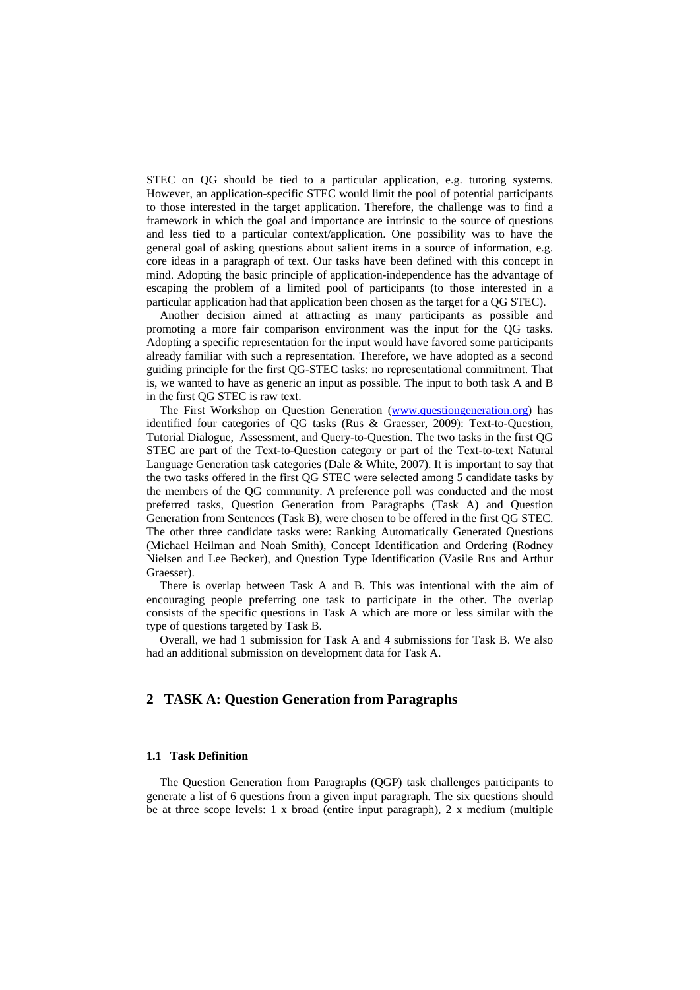STEC on QG should be tied to a particular application, e.g. tutoring systems. However, an application-specific STEC would limit the pool of potential participants to those interested in the target application. Therefore, the challenge was to find a framework in which the goal and importance are intrinsic to the source of questions and less tied to a particular context/application. One possibility was to have the general goal of asking questions about salient items in a source of information, e.g. core ideas in a paragraph of text. Our tasks have been defined with this concept in mind. Adopting the basic principle of application-independence has the advantage of escaping the problem of a limited pool of participants (to those interested in a particular application had that application been chosen as the target for a QG STEC).

Another decision aimed at attracting as many participants as possible and promoting a more fair comparison environment was the input for the QG tasks. Adopting a specific representation for the input would have favored some participants already familiar with such a representation. Therefore, we have adopted as a second guiding principle for the first QG-STEC tasks: no representational commitment. That is, we wanted to have as generic an input as possible. The input to both task A and B in the first QG STEC is raw text.

The First Workshop on Question Generation [\(www.questiongeneration.org](http://www.questiongeneration.org/)) has identified four categories of QG tasks (Rus & Graesser, 2009): Text-to-Question, Tutorial Dialogue, Assessment, and Query-to-Question. The two tasks in the first QG STEC are part of the Text-to-Question category or part of the Text-to-text Natural Language Generation task categories (Dale & White, 2007). It is important to say that the two tasks offered in the first QG STEC were selected among 5 candidate tasks by the members of the QG community. A preference poll was conducted and the most preferred tasks, Question Generation from Paragraphs (Task A) and Question Generation from Sentences (Task B), were chosen to be offered in the first QG STEC. The other three candidate tasks were: Ranking Automatically Generated Questions (Michael Heilman and Noah Smith), Concept Identification and Ordering (Rodney Nielsen and Lee Becker), and Question Type Identification (Vasile Rus and Arthur Graesser).

There is overlap between Task A and B. This was intentional with the aim of encouraging people preferring one task to participate in the other. The overlap consists of the specific questions in Task A which are more or less similar with the type of questions targeted by Task B.

Overall, we had 1 submission for Task A and 4 submissions for Task B. We also had an additional submission on development data for Task A.

# **2 TASK A: Question Generation from Paragraphs**

### **1.1 Task Definition**

The Question Generation from Paragraphs (QGP) task challenges participants to generate a list of 6 questions from a given input paragraph. The six questions should be at three scope levels: 1 x broad (entire input paragraph), 2 x medium (multiple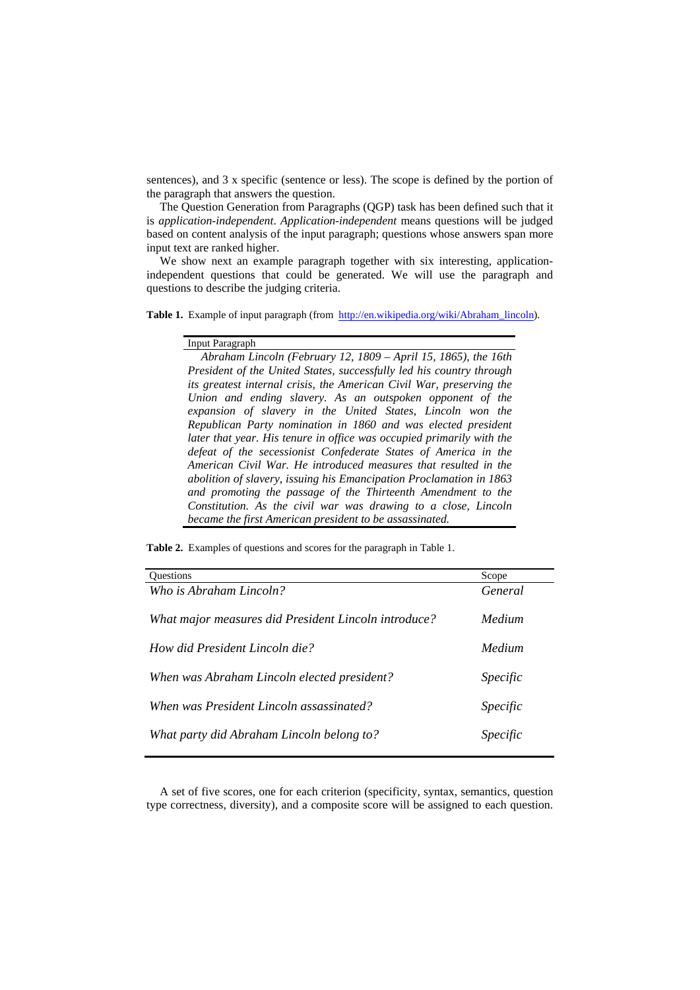sentences), and 3 x specific (sentence or less). The scope is defined by the portion of the paragraph that answers the question.

The Question Generation from Paragraphs (QGP) task has been defined such that it is *application-independent*. *Application-independent* means questions will be judged based on content analysis of the input paragraph; questions whose answers span more input text are ranked higher.

We show next an example paragraph together with six interesting, applicationindependent questions that could be generated. We will use the paragraph and questions to describe the judging criteria.

Table 1. Example of input paragraph (from [http://en.wikipedia.org/wiki/Abraham\\_lincoln](http://en.wikipedia.org/wiki/Abraham_lincoln)).

### Input Paragraph

*Abraham Lincoln (February 12, 1809 – April 15, 1865), the 16th President of the United States, successfully led his country through its greatest internal crisis, the American Civil War, preserving the Union and ending slavery. As an outspoken opponent of the expansion of slavery in the United States, Lincoln won the Republican Party nomination in 1860 and was elected president later that year. His tenure in office was occupied primarily with the defeat of the secessionist Confederate States of America in the American Civil War. He introduced measures that resulted in the abolition of slavery, issuing his Emancipation Proclamation in 1863 and promoting the passage of the Thirteenth Amendment to the Constitution. As the civil war was drawing to a close, Lincoln became the first American president to be assassinated.*

**Table 2.** Examples of questions and scores for the paragraph in Table 1.

| <b>Ouestions</b>                                     | Scope           |
|------------------------------------------------------|-----------------|
| Who is Abraham Lincoln?                              | General         |
|                                                      |                 |
| What major measures did President Lincoln introduce? | Medium          |
|                                                      |                 |
| How did President Lincoln die?                       | Medium          |
|                                                      |                 |
| When was Abraham Lincoln elected president?          | <i>Specific</i> |
|                                                      |                 |
| When was President Lincoln assassinated?             | <i>Specific</i> |
|                                                      |                 |
| What party did Abraham Lincoln belong to?            | <i>Specific</i> |
|                                                      |                 |

A set of five scores, one for each criterion (specificity, syntax, semantics, question type correctness, diversity), and a composite score will be assigned to each question.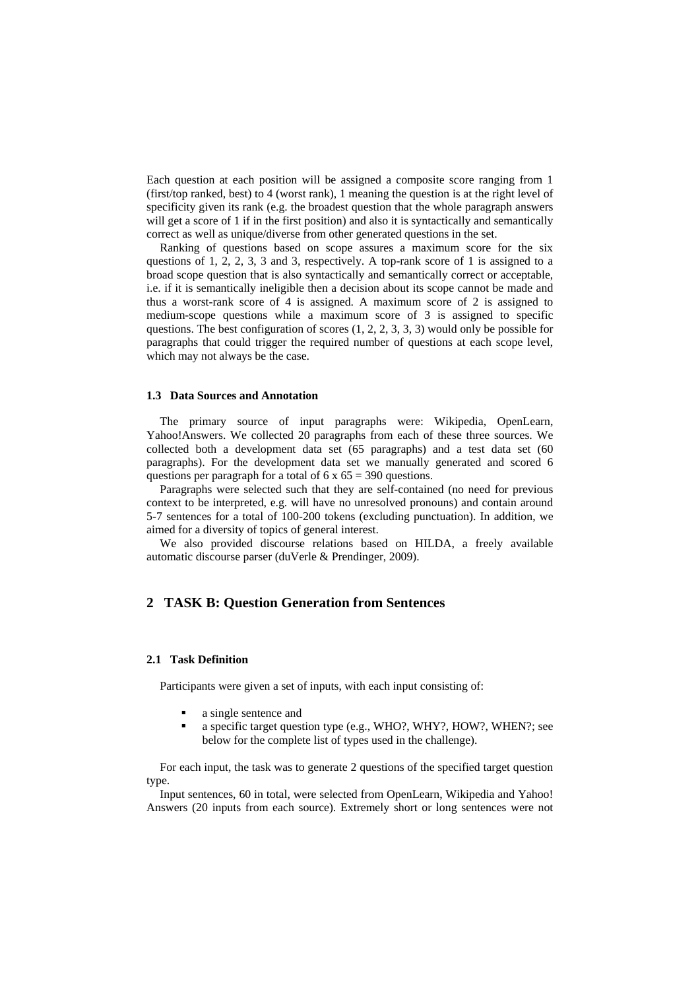Each question at each position will be assigned a composite score ranging from 1 (first/top ranked, best) to 4 (worst rank), 1 meaning the question is at the right level of specificity given its rank (e.g. the broadest question that the whole paragraph answers will get a score of 1 if in the first position) and also it is syntactically and semantically correct as well as unique/diverse from other generated questions in the set.

Ranking of questions based on scope assures a maximum score for the six questions of 1, 2, 2, 3, 3 and 3, respectively. A top-rank score of 1 is assigned to a broad scope question that is also syntactically and semantically correct or acceptable, i.e. if it is semantically ineligible then a decision about its scope cannot be made and thus a worst-rank score of 4 is assigned. A maximum score of 2 is assigned to medium-scope questions while a maximum score of 3 is assigned to specific questions. The best configuration of scores (1, 2, 2, 3, 3, 3) would only be possible for paragraphs that could trigger the required number of questions at each scope level, which may not always be the case.

## **1.3 Data Sources and Annotation**

The primary source of input paragraphs were: Wikipedia, OpenLearn, Yahoo!Answers. We collected 20 paragraphs from each of these three sources. We collected both a development data set (65 paragraphs) and a test data set (60 paragraphs). For the development data set we manually generated and scored 6 questions per paragraph for a total of  $6 \times 65 = 390$  questions.

Paragraphs were selected such that they are self-contained (no need for previous context to be interpreted, e.g. will have no unresolved pronouns) and contain around 5-7 sentences for a total of 100-200 tokens (excluding punctuation). In addition, we aimed for a diversity of topics of general interest.

We also provided discourse relations based on HILDA, a freely available automatic discourse parser (duVerle & Prendinger, 2009).

## **2 TASK B: Question Generation from Sentences**

## **2.1 Task Definition**

Participants were given a set of inputs, with each input consisting of:

- a single sentence and
- a specific target question type (e.g., WHO?, WHY?, HOW?, WHEN?; see below for the complete list of types used in the challenge).

For each input, the task was to generate 2 questions of the specified target question type.

Input sentences, 60 in total, were selected from OpenLearn, Wikipedia and Yahoo! Answers (20 inputs from each source). Extremely short or long sentences were not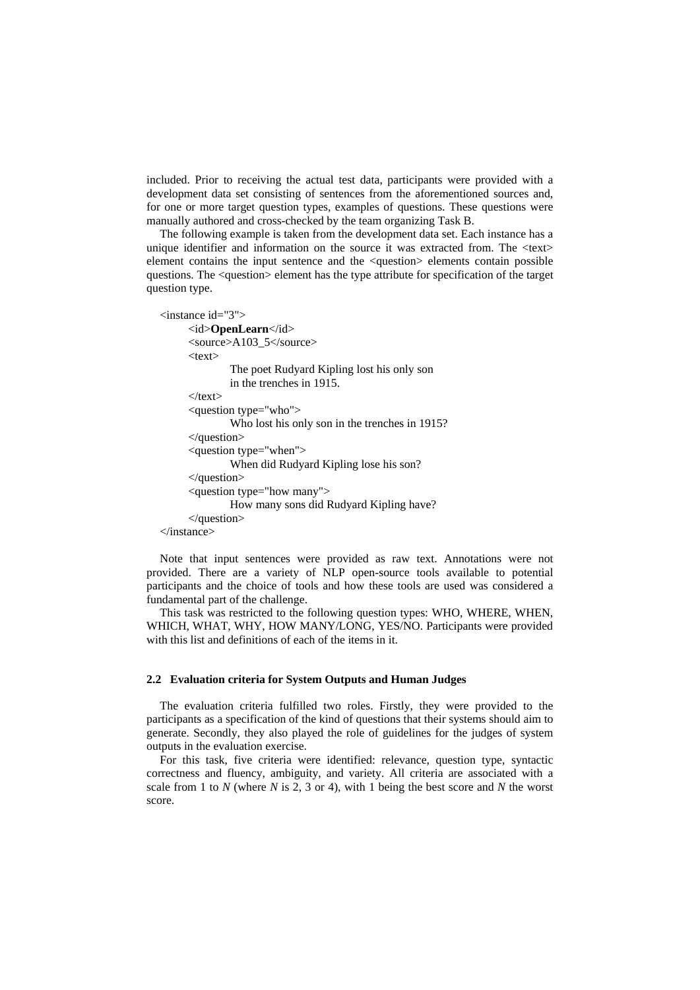included. Prior to receiving the actual test data, participants were provided with a development data set consisting of sentences from the aforementioned sources and, for one or more target question types, examples of questions. These questions were manually authored and cross-checked by the team organizing Task B.

The following example is taken from the development data set. Each instance has a unique identifier and information on the source it was extracted from. The <text> element contains the input sentence and the <question> elements contain possible questions. The <question> element has the type attribute for specification of the target question type.

```
<instance id="3"> 
       <id>OpenLearn</id> 
       <source>A103_5</source> 
      <text> The poet Rudyard Kipling lost his only son 
                in the trenches in 1915. 
      \langletext\rangle <question type="who"> 
                Who lost his only son in the trenches in 1915? 
       </question> 
       <question type="when"> 
                When did Rudyard Kipling lose his son? 
       </question> 
       <question type="how many"> 
                How many sons did Rudyard Kipling have? 
       </question> 
</instance>
```
Note that input sentences were provided as raw text. Annotations were not provided. There are a variety of NLP open-source tools available to potential participants and the choice of tools and how these tools are used was considered a fundamental part of the challenge.

This task was restricted to the following question types: WHO, WHERE, WHEN, WHICH, WHAT, WHY, HOW MANY/LONG, YES/NO. Participants were provided with this list and definitions of each of the items in it.

## **2.2 Evaluation criteria for System Outputs and Human Judges**

The evaluation criteria fulfilled two roles. Firstly, they were provided to the participants as a specification of the kind of questions that their systems should aim to generate. Secondly, they also played the role of guidelines for the judges of system outputs in the evaluation exercise.

For this task, five criteria were identified: relevance, question type, syntactic correctness and fluency, ambiguity, and variety. All criteria are associated with a scale from 1 to *N* (where *N* is 2, 3 or 4), with 1 being the best score and *N* the worst score.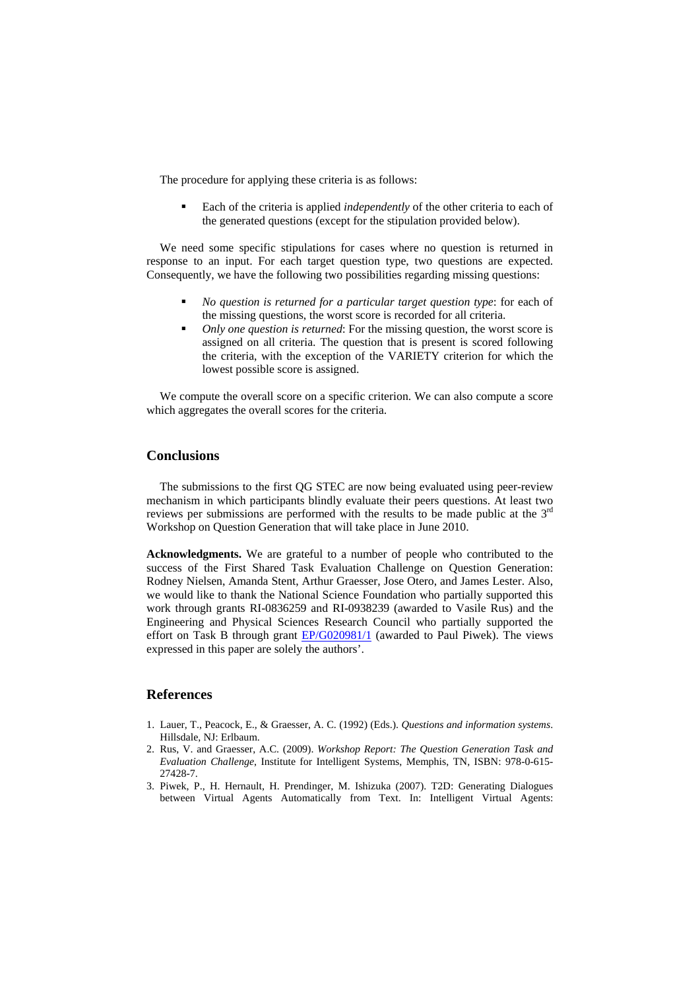The procedure for applying these criteria is as follows:

 Each of the criteria is applied *independently* of the other criteria to each of the generated questions (except for the stipulation provided below).

We need some specific stipulations for cases where no question is returned in response to an input. For each target question type, two questions are expected. Consequently, we have the following two possibilities regarding missing questions:

- *No question is returned for a particular target question type*: for each of the missing questions, the worst score is recorded for all criteria.
- *Only one question is returned*: For the missing question, the worst score is assigned on all criteria. The question that is present is scored following the criteria, with the exception of the VARIETY criterion for which the lowest possible score is assigned.

We compute the overall score on a specific criterion. We can also compute a score which aggregates the overall scores for the criteria.

# **Conclusions**

The submissions to the first QG STEC are now being evaluated using peer-review mechanism in which participants blindly evaluate their peers questions. At least two reviews per submissions are performed with the results to be made public at the 3rd Workshop on Question Generation that will take place in June 2010.

**Acknowledgments.** We are grateful to a number of people who contributed to the success of the First Shared Task Evaluation Challenge on Question Generation: Rodney Nielsen, Amanda Stent, Arthur Graesser, Jose Otero, and James Lester. Also, we would like to thank the National Science Foundation who partially supported this work through grants RI-[0836259](http://www.nsf.gov/awardsearch/showAward.do?AwardNumber=0836259) and RI-0938239 (awarded to Vasile Rus) and the Engineering and Physical Sciences Research Council who partially supported the effort on Task B through grant **[EP/G020981/1](http://gow.epsrc.ac.uk/ProgressCheck.aspx?GrantRefNumber=EP/G020981/1)** (awarded to Paul Piwek). The views expressed in this paper are solely the authors'.

# **References**

- 1. Lauer, T., Peacock, E., & Graesser, A. C. (1992) (Eds.). *Questions and information systems*. Hillsdale, NJ: Erlbaum.
- 2. Rus, V. and Graesser, A.C. (2009). *Workshop Report: The Question Generation Task and Evaluation Challenge*, Institute for Intelligent Systems, Memphis, TN, ISBN: 978-0-615- 27428-7.
- 3. Piwek, P., H. Hernault, H. Prendinger, M. Ishizuka (2007). T2D: Generating Dialogues between Virtual Agents Automatically from Text. In: Intelligent Virtual Agents: